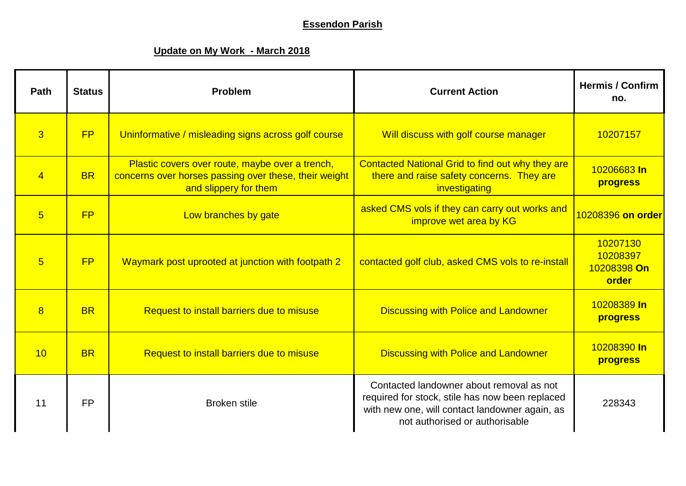## **Essendon Parish**

## **Update on My Work - March 2018**

| Path            | <b>Status</b> | Problem                                                                                                                           | <b>Current Action</b>                                                                                                                                                           | <b>Hermis / Confirm</b><br>no.               |
|-----------------|---------------|-----------------------------------------------------------------------------------------------------------------------------------|---------------------------------------------------------------------------------------------------------------------------------------------------------------------------------|----------------------------------------------|
| $\overline{3}$  | FP            | Uninformative / misleading signs across golf course                                                                               | Will discuss with golf course manager                                                                                                                                           | 10207157                                     |
| $\overline{4}$  | <b>BR</b>     | Plastic covers over route, maybe over a trench,<br>concerns over horses passing over these, their weight<br>and slippery for them | Contacted National Grid to find out why they are<br>there and raise safety concerns. They are<br>investigating                                                                  | 10206683 In<br>progress                      |
| $5\overline{)}$ | <b>FP</b>     | Low branches by gate                                                                                                              | asked CMS vols if they can carry out works and<br>improve wet area by KG                                                                                                        | 10208396 on order                            |
| $\overline{5}$  | <b>FP</b>     | Waymark post uprooted at junction with footpath 2                                                                                 | contacted golf club, asked CMS vols to re-install                                                                                                                               | 10207130<br>10208397<br>10208398 On<br>order |
| 8               | <b>BR</b>     | Request to install barriers due to misuse                                                                                         | <b>Discussing with Police and Landowner</b>                                                                                                                                     | 10208389 In<br>progress                      |
| 10              | <b>BR</b>     | Request to install barriers due to misuse                                                                                         | <b>Discussing with Police and Landowner</b>                                                                                                                                     | 10208390 In<br><b>progress</b>               |
| 11              | <b>FP</b>     | <b>Broken stile</b>                                                                                                               | Contacted landowner about removal as not<br>required for stock, stile has now been replaced<br>with new one, will contact landowner again, as<br>not authorised or authorisable | 228343                                       |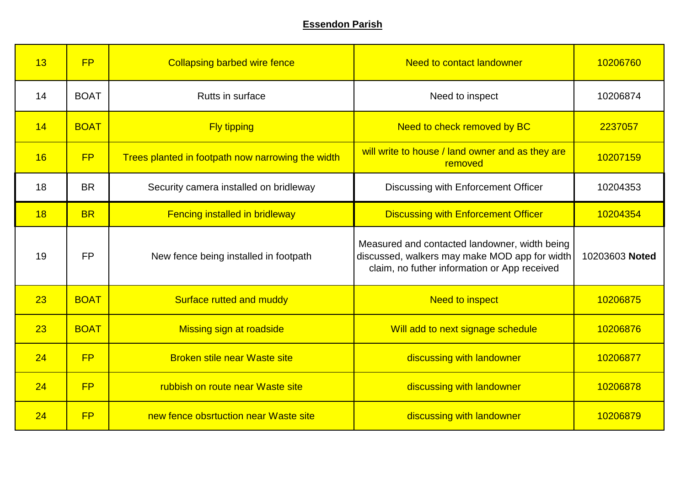## **Essendon Parish**

| 13 | <b>FP</b>   | <b>Collapsing barbed wire fence</b>               | <b>Need to contact landowner</b>                                                                                                               | 10206760       |
|----|-------------|---------------------------------------------------|------------------------------------------------------------------------------------------------------------------------------------------------|----------------|
| 14 | <b>BOAT</b> | Rutts in surface                                  | Need to inspect                                                                                                                                | 10206874       |
| 14 | <b>BOAT</b> | <b>Fly tipping</b>                                | Need to check removed by BC                                                                                                                    | 2237057        |
| 16 | <b>FP</b>   | Trees planted in footpath now narrowing the width | will write to house / land owner and as they are<br>removed                                                                                    | 10207159       |
| 18 | <b>BR</b>   | Security camera installed on bridleway            | Discussing with Enforcement Officer                                                                                                            | 10204353       |
| 18 | <b>BR</b>   | <b>Fencing installed in bridleway</b>             | <b>Discussing with Enforcement Officer</b>                                                                                                     | 10204354       |
| 19 | <b>FP</b>   | New fence being installed in footpath             | Measured and contacted landowner, width being<br>discussed, walkers may make MOD app for width<br>claim, no futher information or App received | 10203603 Noted |
| 23 | <b>BOAT</b> | Surface rutted and muddy                          | <b>Need to inspect</b>                                                                                                                         | 10206875       |
| 23 | <b>BOAT</b> | <b>Missing sign at roadside</b>                   | Will add to next signage schedule                                                                                                              | 10206876       |
| 24 | <b>FP</b>   | <b>Broken stile near Waste site</b>               | discussing with landowner                                                                                                                      | 10206877       |
| 24 | <b>FP</b>   | rubbish on route near Waste site                  | discussing with landowner                                                                                                                      | 10206878       |
| 24 | FP          | new fence obsrtuction near Waste site             | discussing with landowner                                                                                                                      | 10206879       |